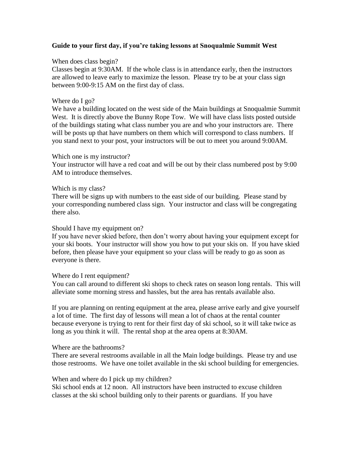### **Guide to your first day, if you're taking lessons at Snoqualmie Summit West**

### When does class begin?

Classes begin at 9:30AM. If the whole class is in attendance early, then the instructors are allowed to leave early to maximize the lesson. Please try to be at your class sign between 9:00-9:15 AM on the first day of class.

### Where do I go?

We have a building located on the west side of the Main buildings at Snoqualmie Summit West. It is directly above the Bunny Rope Tow. We will have class lists posted outside of the buildings stating what class number you are and who your instructors are. There will be posts up that have numbers on them which will correspond to class numbers. If you stand next to your post, your instructors will be out to meet you around 9:00AM.

### Which one is my instructor?

Your instructor will have a red coat and will be out by their class numbered post by 9:00 AM to introduce themselves.

### Which is my class?

There will be signs up with numbers to the east side of our building. Please stand by your corresponding numbered class sign. Your instructor and class will be congregating there also.

#### Should I have my equipment on?

If you have never skied before, then don't worry about having your equipment except for your ski boots. Your instructor will show you how to put your skis on. If you have skied before, then please have your equipment so your class will be ready to go as soon as everyone is there.

# Where do I rent equipment?

You can call around to different ski shops to check rates on season long rentals. This will alleviate some morning stress and hassles, but the area has rentals available also.

If you are planning on renting equipment at the area, please arrive early and give yourself a lot of time. The first day of lessons will mean a lot of chaos at the rental counter because everyone is trying to rent for their first day of ski school, so it will take twice as long as you think it will. The rental shop at the area opens at 8:30AM.

#### Where are the bathrooms?

There are several restrooms available in all the Main lodge buildings. Please try and use those restrooms. We have one toilet available in the ski school building for emergencies.

# When and where do I pick up my children?

Ski school ends at 12 noon. All instructors have been instructed to excuse children classes at the ski school building only to their parents or guardians. If you have